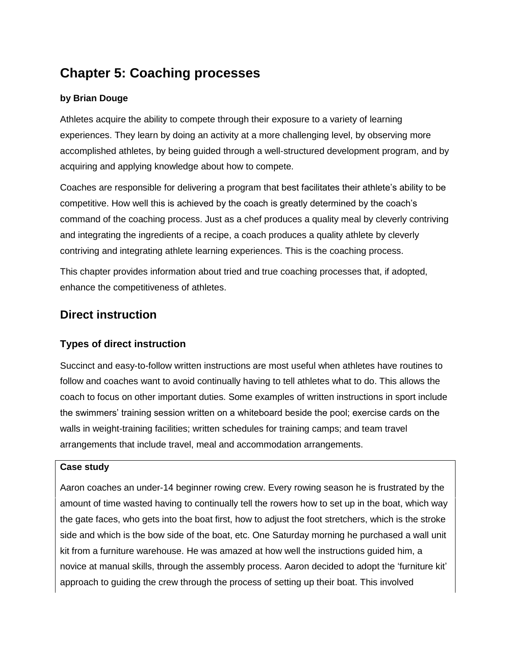# **Chapter 5: Coaching processes**

### **by Brian Douge**

Athletes acquire the ability to compete through their exposure to a variety of learning experiences. They learn by doing an activity at a more challenging level, by observing more accomplished athletes, by being guided through a well-structured development program, and by acquiring and applying knowledge about how to compete.

Coaches are responsible for delivering a program that best facilitates their athlete's ability to be competitive. How well this is achieved by the coach is greatly determined by the coach's command of the coaching process. Just as a chef produces a quality meal by cleverly contriving and integrating the ingredients of a recipe, a coach produces a quality athlete by cleverly contriving and integrating athlete learning experiences. This is the coaching process.

This chapter provides information about tried and true coaching processes that, if adopted, enhance the competitiveness of athletes.

## **Direct instruction**

### **Types of direct instruction**

Succinct and easy-to-follow written instructions are most useful when athletes have routines to follow and coaches want to avoid continually having to tell athletes what to do. This allows the coach to focus on other important duties. Some examples of written instructions in sport include the swimmers' training session written on a whiteboard beside the pool; exercise cards on the walls in weight-training facilities; written schedules for training camps; and team travel arrangements that include travel, meal and accommodation arrangements.

#### **Case study**

Aaron coaches an under-14 beginner rowing crew. Every rowing season he is frustrated by the amount of time wasted having to continually tell the rowers how to set up in the boat, which way the gate faces, who gets into the boat first, how to adjust the foot stretchers, which is the stroke side and which is the bow side of the boat, etc. One Saturday morning he purchased a wall unit kit from a furniture warehouse. He was amazed at how well the instructions guided him, a novice at manual skills, through the assembly process. Aaron decided to adopt the 'furniture kit' approach to guiding the crew through the process of setting up their boat. This involved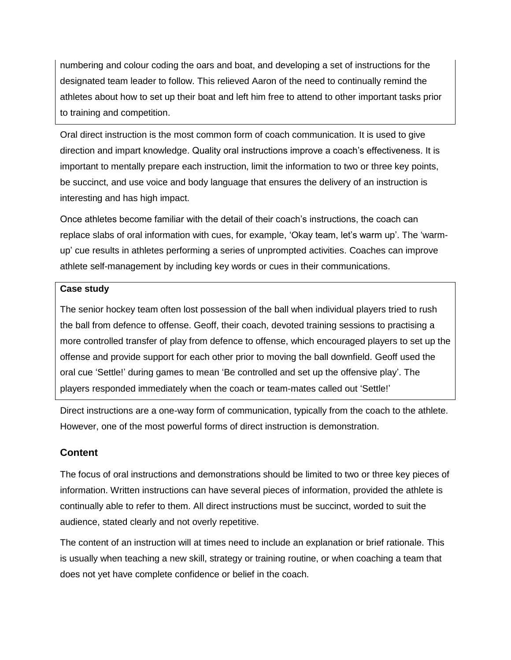numbering and colour coding the oars and boat, and developing a set of instructions for the designated team leader to follow. This relieved Aaron of the need to continually remind the athletes about how to set up their boat and left him free to attend to other important tasks prior to training and competition.

Oral direct instruction is the most common form of coach communication. It is used to give direction and impart knowledge. Quality oral instructions improve a coach's effectiveness. It is important to mentally prepare each instruction, limit the information to two or three key points, be succinct, and use voice and body language that ensures the delivery of an instruction is interesting and has high impact.

Once athletes become familiar with the detail of their coach's instructions, the coach can replace slabs of oral information with cues, for example, 'Okay team, let's warm up'. The 'warmup' cue results in athletes performing a series of unprompted activities. Coaches can improve athlete self-management by including key words or cues in their communications.

#### **Case study**

The senior hockey team often lost possession of the ball when individual players tried to rush the ball from defence to offense. Geoff, their coach, devoted training sessions to practising a more controlled transfer of play from defence to offense, which encouraged players to set up the offense and provide support for each other prior to moving the ball downfield. Geoff used the oral cue 'Settle!' during games to mean 'Be controlled and set up the offensive play'. The players responded immediately when the coach or team-mates called out 'Settle!'

Direct instructions are a one-way form of communication, typically from the coach to the athlete. However, one of the most powerful forms of direct instruction is demonstration.

### **Content**

The focus of oral instructions and demonstrations should be limited to two or three key pieces of information. Written instructions can have several pieces of information, provided the athlete is continually able to refer to them. All direct instructions must be succinct, worded to suit the audience, stated clearly and not overly repetitive.

The content of an instruction will at times need to include an explanation or brief rationale. This is usually when teaching a new skill, strategy or training routine, or when coaching a team that does not yet have complete confidence or belief in the coach.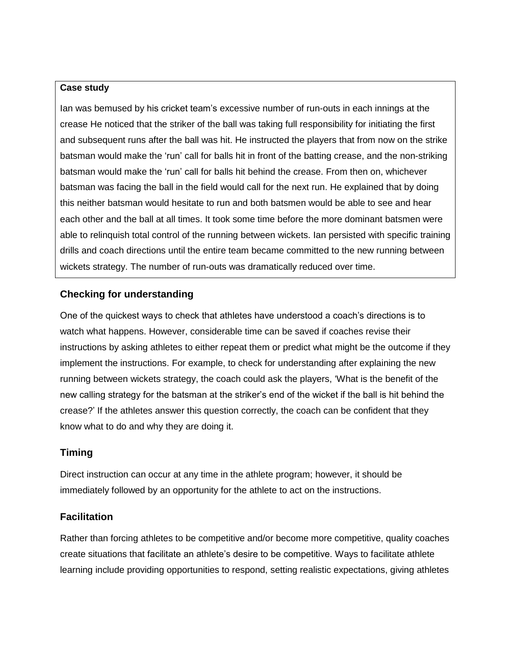#### **Case study**

Ian was bemused by his cricket team's excessive number of run-outs in each innings at the crease He noticed that the striker of the ball was taking full responsibility for initiating the first and subsequent runs after the ball was hit. He instructed the players that from now on the strike batsman would make the 'run' call for balls hit in front of the batting crease, and the non-striking batsman would make the 'run' call for balls hit behind the crease. From then on, whichever batsman was facing the ball in the field would call for the next run. He explained that by doing this neither batsman would hesitate to run and both batsmen would be able to see and hear each other and the ball at all times. It took some time before the more dominant batsmen were able to relinquish total control of the running between wickets. Ian persisted with specific training drills and coach directions until the entire team became committed to the new running between wickets strategy. The number of run-outs was dramatically reduced over time.

### **Checking for understanding**

One of the quickest ways to check that athletes have understood a coach's directions is to watch what happens. However, considerable time can be saved if coaches revise their instructions by asking athletes to either repeat them or predict what might be the outcome if they implement the instructions. For example, to check for understanding after explaining the new running between wickets strategy, the coach could ask the players, 'What is the benefit of the new calling strategy for the batsman at the striker's end of the wicket if the ball is hit behind the crease?' If the athletes answer this question correctly, the coach can be confident that they know what to do and why they are doing it.

#### **Timing**

Direct instruction can occur at any time in the athlete program; however, it should be immediately followed by an opportunity for the athlete to act on the instructions.

#### **Facilitation**

Rather than forcing athletes to be competitive and/or become more competitive, quality coaches create situations that facilitate an athlete's desire to be competitive. Ways to facilitate athlete learning include providing opportunities to respond, setting realistic expectations, giving athletes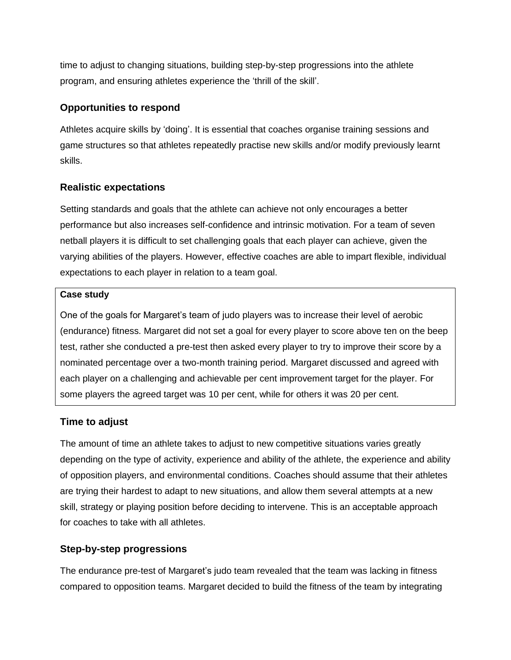time to adjust to changing situations, building step-by-step progressions into the athlete program, and ensuring athletes experience the 'thrill of the skill'.

### **Opportunities to respond**

Athletes acquire skills by 'doing'. It is essential that coaches organise training sessions and game structures so that athletes repeatedly practise new skills and/or modify previously learnt skills.

### **Realistic expectations**

Setting standards and goals that the athlete can achieve not only encourages a better performance but also increases self-confidence and intrinsic motivation. For a team of seven netball players it is difficult to set challenging goals that each player can achieve, given the varying abilities of the players. However, effective coaches are able to impart flexible, individual expectations to each player in relation to a team goal.

#### **Case study**

One of the goals for Margaret's team of judo players was to increase their level of aerobic (endurance) fitness. Margaret did not set a goal for every player to score above ten on the beep test, rather she conducted a pre-test then asked every player to try to improve their score by a nominated percentage over a two-month training period. Margaret discussed and agreed with each player on a challenging and achievable per cent improvement target for the player. For some players the agreed target was 10 per cent, while for others it was 20 per cent.

#### **Time to adjust**

The amount of time an athlete takes to adjust to new competitive situations varies greatly depending on the type of activity, experience and ability of the athlete, the experience and ability of opposition players, and environmental conditions. Coaches should assume that their athletes are trying their hardest to adapt to new situations, and allow them several attempts at a new skill, strategy or playing position before deciding to intervene. This is an acceptable approach for coaches to take with all athletes.

### **Step-by-step progressions**

The endurance pre-test of Margaret's judo team revealed that the team was lacking in fitness compared to opposition teams. Margaret decided to build the fitness of the team by integrating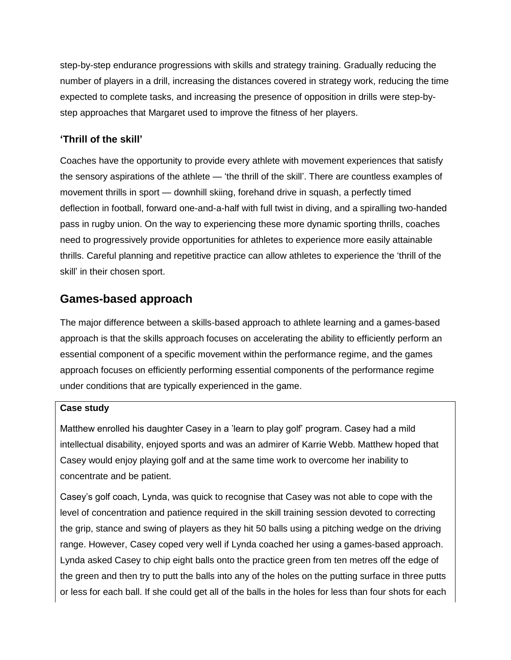step-by-step endurance progressions with skills and strategy training. Gradually reducing the number of players in a drill, increasing the distances covered in strategy work, reducing the time expected to complete tasks, and increasing the presence of opposition in drills were step-bystep approaches that Margaret used to improve the fitness of her players.

### **'Thrill of the skill'**

Coaches have the opportunity to provide every athlete with movement experiences that satisfy the sensory aspirations of the athlete — 'the thrill of the skill'. There are countless examples of movement thrills in sport — downhill skiing, forehand drive in squash, a perfectly timed deflection in football, forward one-and-a-half with full twist in diving, and a spiralling two-handed pass in rugby union. On the way to experiencing these more dynamic sporting thrills, coaches need to progressively provide opportunities for athletes to experience more easily attainable thrills. Careful planning and repetitive practice can allow athletes to experience the 'thrill of the skill' in their chosen sport.

# **Games-based approach**

The major difference between a skills-based approach to athlete learning and a games-based approach is that the skills approach focuses on accelerating the ability to efficiently perform an essential component of a specific movement within the performance regime, and the games approach focuses on efficiently performing essential components of the performance regime under conditions that are typically experienced in the game.

#### **Case study**

Matthew enrolled his daughter Casey in a 'learn to play golf' program. Casey had a mild intellectual disability, enjoyed sports and was an admirer of Karrie Webb. Matthew hoped that Casey would enjoy playing golf and at the same time work to overcome her inability to concentrate and be patient.

Casey's golf coach, Lynda, was quick to recognise that Casey was not able to cope with the level of concentration and patience required in the skill training session devoted to correcting the grip, stance and swing of players as they hit 50 balls using a pitching wedge on the driving range. However, Casey coped very well if Lynda coached her using a games-based approach. Lynda asked Casey to chip eight balls onto the practice green from ten metres off the edge of the green and then try to putt the balls into any of the holes on the putting surface in three putts or less for each ball. If she could get all of the balls in the holes for less than four shots for each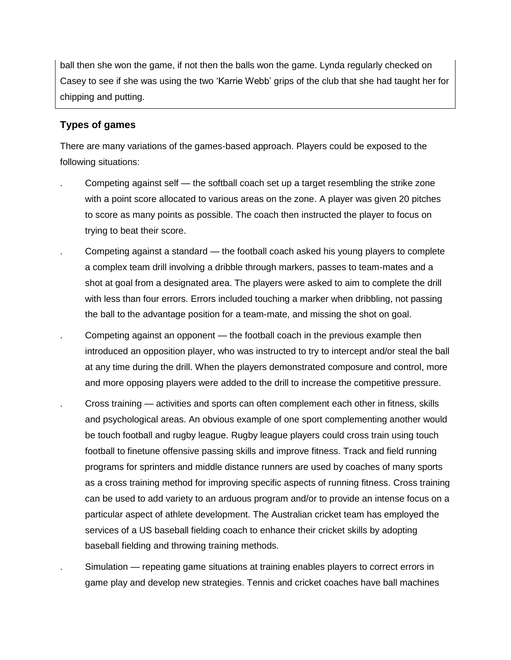ball then she won the game, if not then the balls won the game. Lynda regularly checked on Casey to see if she was using the two 'Karrie Webb' grips of the club that she had taught her for chipping and putting.

### **Types of games**

There are many variations of the games-based approach. Players could be exposed to the following situations:

- . Competing against self the softball coach set up a target resembling the strike zone with a point score allocated to various areas on the zone. A player was given 20 pitches to score as many points as possible. The coach then instructed the player to focus on trying to beat their score.
	- . Competing against a standard the football coach asked his young players to complete a complex team drill involving a dribble through markers, passes to team-mates and a shot at goal from a designated area. The players were asked to aim to complete the drill with less than four errors. Errors included touching a marker when dribbling, not passing the ball to the advantage position for a team-mate, and missing the shot on goal.
- . Competing against an opponent the football coach in the previous example then introduced an opposition player, who was instructed to try to intercept and/or steal the ball at any time during the drill. When the players demonstrated composure and control, more and more opposing players were added to the drill to increase the competitive pressure.
- . Cross training activities and sports can often complement each other in fitness, skills and psychological areas. An obvious example of one sport complementing another would be touch football and rugby league. Rugby league players could cross train using touch football to finetune offensive passing skills and improve fitness. Track and field running programs for sprinters and middle distance runners are used by coaches of many sports as a cross training method for improving specific aspects of running fitness. Cross training can be used to add variety to an arduous program and/or to provide an intense focus on a particular aspect of athlete development. The Australian cricket team has employed the services of a US baseball fielding coach to enhance their cricket skills by adopting baseball fielding and throwing training methods.
	- . Simulation repeating game situations at training enables players to correct errors in game play and develop new strategies. Tennis and cricket coaches have ball machines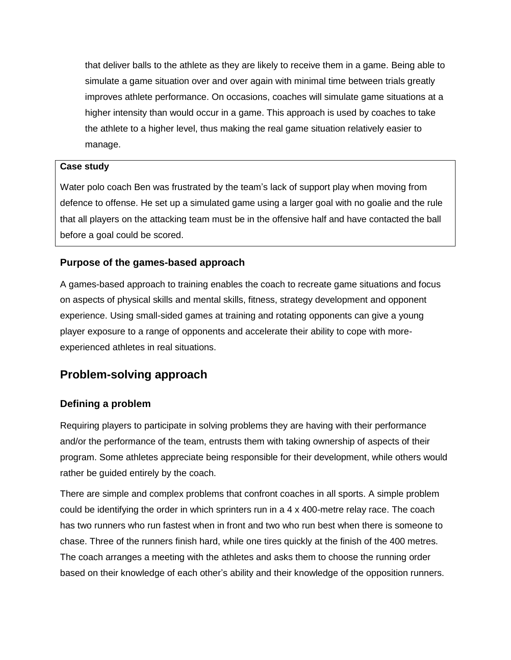that deliver balls to the athlete as they are likely to receive them in a game. Being able to simulate a game situation over and over again with minimal time between trials greatly improves athlete performance. On occasions, coaches will simulate game situations at a higher intensity than would occur in a game. This approach is used by coaches to take the athlete to a higher level, thus making the real game situation relatively easier to manage.

#### **Case study**

Water polo coach Ben was frustrated by the team's lack of support play when moving from defence to offense. He set up a simulated game using a larger goal with no goalie and the rule that all players on the attacking team must be in the offensive half and have contacted the ball before a goal could be scored.

#### **Purpose of the games-based approach**

A games-based approach to training enables the coach to recreate game situations and focus on aspects of physical skills and mental skills, fitness, strategy development and opponent experience. Using small-sided games at training and rotating opponents can give a young player exposure to a range of opponents and accelerate their ability to cope with moreexperienced athletes in real situations.

## **Problem-solving approach**

#### **Defining a problem**

Requiring players to participate in solving problems they are having with their performance and/or the performance of the team, entrusts them with taking ownership of aspects of their program. Some athletes appreciate being responsible for their development, while others would rather be guided entirely by the coach.

There are simple and complex problems that confront coaches in all sports. A simple problem could be identifying the order in which sprinters run in a 4 x 400-metre relay race. The coach has two runners who run fastest when in front and two who run best when there is someone to chase. Three of the runners finish hard, while one tires quickly at the finish of the 400 metres. The coach arranges a meeting with the athletes and asks them to choose the running order based on their knowledge of each other's ability and their knowledge of the opposition runners.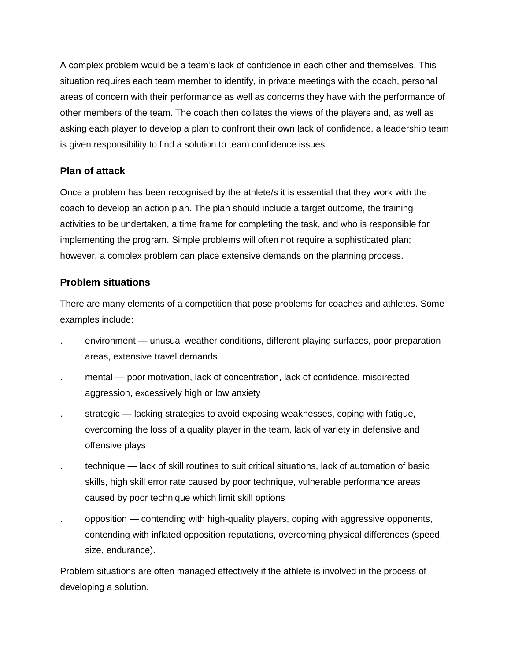A complex problem would be a team's lack of confidence in each other and themselves. This situation requires each team member to identify, in private meetings with the coach, personal areas of concern with their performance as well as concerns they have with the performance of other members of the team. The coach then collates the views of the players and, as well as asking each player to develop a plan to confront their own lack of confidence, a leadership team is given responsibility to find a solution to team confidence issues.

### **Plan of attack**

Once a problem has been recognised by the athlete/s it is essential that they work with the coach to develop an action plan. The plan should include a target outcome, the training activities to be undertaken, a time frame for completing the task, and who is responsible for implementing the program. Simple problems will often not require a sophisticated plan; however, a complex problem can place extensive demands on the planning process.

### **Problem situations**

There are many elements of a competition that pose problems for coaches and athletes. Some examples include:

- . environment unusual weather conditions, different playing surfaces, poor preparation areas, extensive travel demands
- . mental poor motivation, lack of concentration, lack of confidence, misdirected aggression, excessively high or low anxiety
- . strategic lacking strategies to avoid exposing weaknesses, coping with fatigue, overcoming the loss of a quality player in the team, lack of variety in defensive and offensive plays
- . technique lack of skill routines to suit critical situations, lack of automation of basic skills, high skill error rate caused by poor technique, vulnerable performance areas caused by poor technique which limit skill options
- . opposition contending with high-quality players, coping with aggressive opponents, contending with inflated opposition reputations, overcoming physical differences (speed, size, endurance).

Problem situations are often managed effectively if the athlete is involved in the process of developing a solution.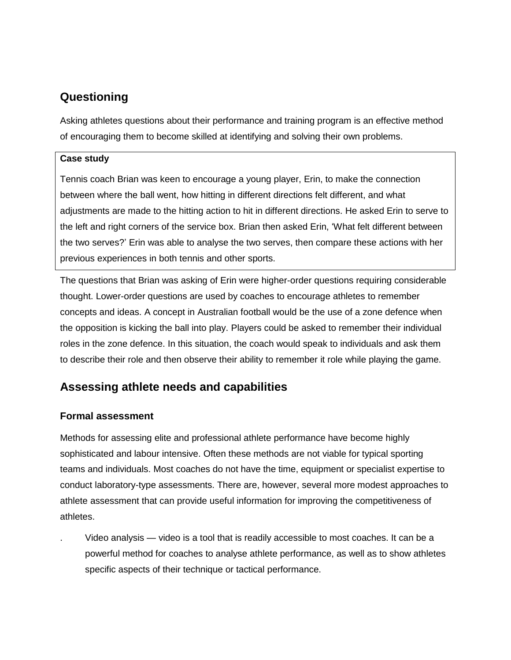# **Questioning**

Asking athletes questions about their performance and training program is an effective method of encouraging them to become skilled at identifying and solving their own problems.

#### **Case study**

Tennis coach Brian was keen to encourage a young player, Erin, to make the connection between where the ball went, how hitting in different directions felt different, and what adjustments are made to the hitting action to hit in different directions. He asked Erin to serve to the left and right corners of the service box. Brian then asked Erin, 'What felt different between the two serves?' Erin was able to analyse the two serves, then compare these actions with her previous experiences in both tennis and other sports.

The questions that Brian was asking of Erin were higher-order questions requiring considerable thought. Lower-order questions are used by coaches to encourage athletes to remember concepts and ideas. A concept in Australian football would be the use of a zone defence when the opposition is kicking the ball into play. Players could be asked to remember their individual roles in the zone defence. In this situation, the coach would speak to individuals and ask them to describe their role and then observe their ability to remember it role while playing the game.

# **Assessing athlete needs and capabilities**

### **Formal assessment**

Methods for assessing elite and professional athlete performance have become highly sophisticated and labour intensive. Often these methods are not viable for typical sporting teams and individuals. Most coaches do not have the time, equipment or specialist expertise to conduct laboratory-type assessments. There are, however, several more modest approaches to athlete assessment that can provide useful information for improving the competitiveness of athletes.

. Video analysis — video is a tool that is readily accessible to most coaches. It can be a powerful method for coaches to analyse athlete performance, as well as to show athletes specific aspects of their technique or tactical performance.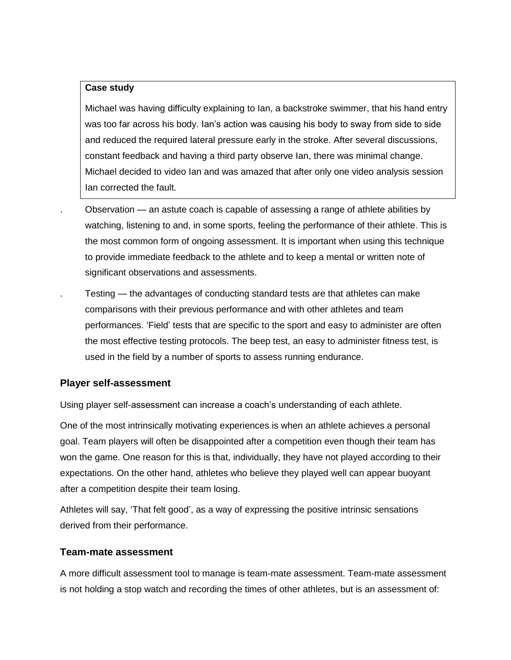#### **Case study**

Michael was having difficulty explaining to Ian, a backstroke swimmer, that his hand entry was too far across his body. Ian's action was causing his body to sway from side to side and reduced the required lateral pressure early in the stroke. After several discussions, constant feedback and having a third party observe Ian, there was minimal change. Michael decided to video Ian and was amazed that after only one video analysis session Ian corrected the fault.

. Observation — an astute coach is capable of assessing a range of athlete abilities by watching, listening to and, in some sports, feeling the performance of their athlete. This is the most common form of ongoing assessment. It is important when using this technique to provide immediate feedback to the athlete and to keep a mental or written note of significant observations and assessments.

. Testing — the advantages of conducting standard tests are that athletes can make comparisons with their previous performance and with other athletes and team performances. 'Field' tests that are specific to the sport and easy to administer are often the most effective testing protocols. The beep test, an easy to administer fitness test, is used in the field by a number of sports to assess running endurance.

#### **Player self-assessment**

Using player self-assessment can increase a coach's understanding of each athlete.

One of the most intrinsically motivating experiences is when an athlete achieves a personal goal. Team players will often be disappointed after a competition even though their team has won the game. One reason for this is that, individually, they have not played according to their expectations. On the other hand, athletes who believe they played well can appear buoyant after a competition despite their team losing.

Athletes will say, 'That felt good', as a way of expressing the positive intrinsic sensations derived from their performance.

#### **Team-mate assessment**

A more difficult assessment tool to manage is team-mate assessment. Team-mate assessment is not holding a stop watch and recording the times of other athletes, but is an assessment of: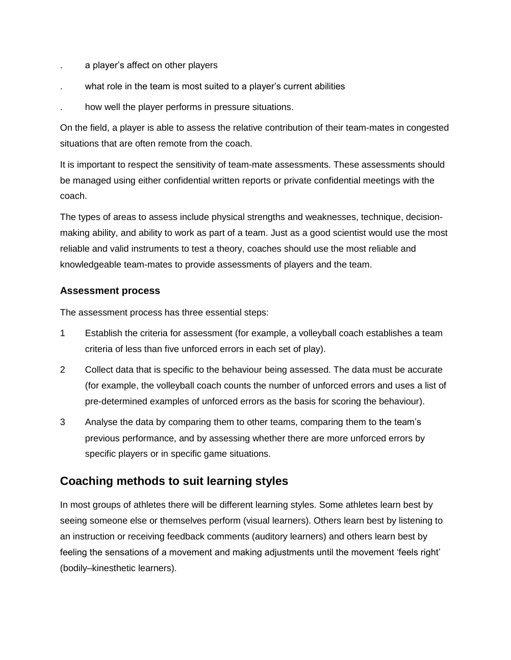- . a player's affect on other players
- what role in the team is most suited to a player's current abilities
- . how well the player performs in pressure situations.

On the field, a player is able to assess the relative contribution of their team-mates in congested situations that are often remote from the coach.

It is important to respect the sensitivity of team-mate assessments. These assessments should be managed using either confidential written reports or private confidential meetings with the coach.

The types of areas to assess include physical strengths and weaknesses, technique, decisionmaking ability, and ability to work as part of a team. Just as a good scientist would use the most reliable and valid instruments to test a theory, coaches should use the most reliable and knowledgeable team-mates to provide assessments of players and the team.

#### **Assessment process**

The assessment process has three essential steps:

- 1 Establish the criteria for assessment (for example, a volleyball coach establishes a team criteria of less than five unforced errors in each set of play).
- 2 Collect data that is specific to the behaviour being assessed. The data must be accurate (for example, the volleyball coach counts the number of unforced errors and uses a list of pre-determined examples of unforced errors as the basis for scoring the behaviour).
- 3 Analyse the data by comparing them to other teams, comparing them to the team's previous performance, and by assessing whether there are more unforced errors by specific players or in specific game situations.

# **Coaching methods to suit learning styles**

In most groups of athletes there will be different learning styles. Some athletes learn best by seeing someone else or themselves perform (visual learners). Others learn best by listening to an instruction or receiving feedback comments (auditory learners) and others learn best by feeling the sensations of a movement and making adjustments until the movement 'feels right' (bodily–kinesthetic learners).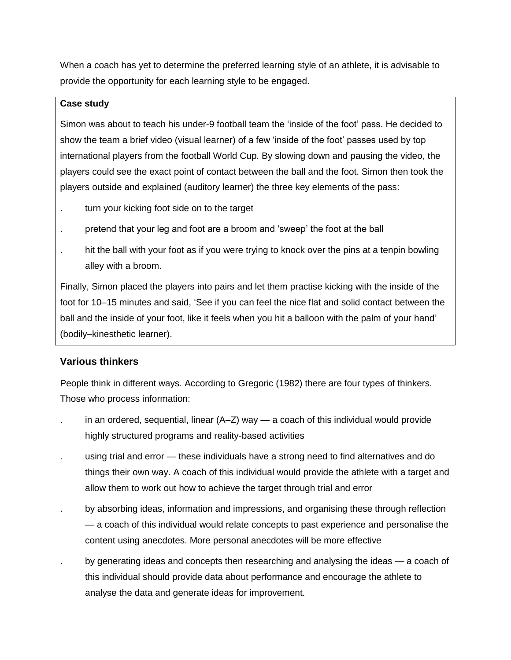When a coach has yet to determine the preferred learning style of an athlete, it is advisable to provide the opportunity for each learning style to be engaged.

#### **Case study**

Simon was about to teach his under-9 football team the 'inside of the foot' pass. He decided to show the team a brief video (visual learner) of a few 'inside of the foot' passes used by top international players from the football World Cup. By slowing down and pausing the video, the players could see the exact point of contact between the ball and the foot. Simon then took the players outside and explained (auditory learner) the three key elements of the pass:

- turn your kicking foot side on to the target
- . pretend that your leg and foot are a broom and 'sweep' the foot at the ball
- hit the ball with your foot as if you were trying to knock over the pins at a tenpin bowling alley with a broom.

Finally, Simon placed the players into pairs and let them practise kicking with the inside of the foot for 10–15 minutes and said, 'See if you can feel the nice flat and solid contact between the ball and the inside of your foot, like it feels when you hit a balloon with the palm of your hand' (bodily–kinesthetic learner).

### **Various thinkers**

People think in different ways. According to Gregoric (1982) there are four types of thinkers. Those who process information:

- in an ordered, sequential, linear  $(A-Z)$  way a coach of this individual would provide highly structured programs and reality-based activities
- . using trial and error these individuals have a strong need to find alternatives and do things their own way. A coach of this individual would provide the athlete with a target and allow them to work out how to achieve the target through trial and error
- . by absorbing ideas, information and impressions, and organising these through reflection — a coach of this individual would relate concepts to past experience and personalise the content using anecdotes. More personal anecdotes will be more effective
- by generating ideas and concepts then researching and analysing the ideas a coach of this individual should provide data about performance and encourage the athlete to analyse the data and generate ideas for improvement.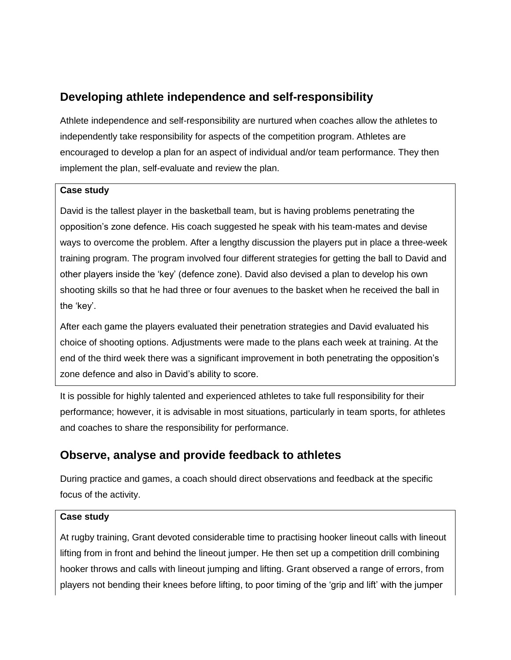# **Developing athlete independence and self-responsibility**

Athlete independence and self-responsibility are nurtured when coaches allow the athletes to independently take responsibility for aspects of the competition program. Athletes are encouraged to develop a plan for an aspect of individual and/or team performance. They then implement the plan, self-evaluate and review the plan.

#### **Case study**

David is the tallest player in the basketball team, but is having problems penetrating the opposition's zone defence. His coach suggested he speak with his team-mates and devise ways to overcome the problem. After a lengthy discussion the players put in place a three-week training program. The program involved four different strategies for getting the ball to David and other players inside the 'key' (defence zone). David also devised a plan to develop his own shooting skills so that he had three or four avenues to the basket when he received the ball in the 'key'.

After each game the players evaluated their penetration strategies and David evaluated his choice of shooting options. Adjustments were made to the plans each week at training. At the end of the third week there was a significant improvement in both penetrating the opposition's zone defence and also in David's ability to score.

It is possible for highly talented and experienced athletes to take full responsibility for their performance; however, it is advisable in most situations, particularly in team sports, for athletes and coaches to share the responsibility for performance.

# **Observe, analyse and provide feedback to athletes**

During practice and games, a coach should direct observations and feedback at the specific focus of the activity.

#### **Case study**

At rugby training, Grant devoted considerable time to practising hooker lineout calls with lineout lifting from in front and behind the lineout jumper. He then set up a competition drill combining hooker throws and calls with lineout jumping and lifting. Grant observed a range of errors, from players not bending their knees before lifting, to poor timing of the 'grip and lift' with the jumper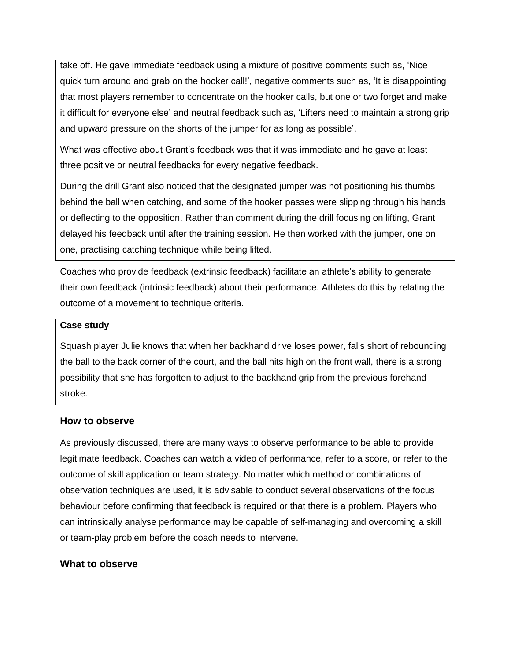take off. He gave immediate feedback using a mixture of positive comments such as, 'Nice quick turn around and grab on the hooker call!', negative comments such as, 'It is disappointing that most players remember to concentrate on the hooker calls, but one or two forget and make it difficult for everyone else' and neutral feedback such as, 'Lifters need to maintain a strong grip and upward pressure on the shorts of the jumper for as long as possible'.

What was effective about Grant's feedback was that it was immediate and he gave at least three positive or neutral feedbacks for every negative feedback.

During the drill Grant also noticed that the designated jumper was not positioning his thumbs behind the ball when catching, and some of the hooker passes were slipping through his hands or deflecting to the opposition. Rather than comment during the drill focusing on lifting, Grant delayed his feedback until after the training session. He then worked with the jumper, one on one, practising catching technique while being lifted.

Coaches who provide feedback (extrinsic feedback) facilitate an athlete's ability to generate their own feedback (intrinsic feedback) about their performance. Athletes do this by relating the outcome of a movement to technique criteria.

#### **Case study**

Squash player Julie knows that when her backhand drive loses power, falls short of rebounding the ball to the back corner of the court, and the ball hits high on the front wall, there is a strong possibility that she has forgotten to adjust to the backhand grip from the previous forehand stroke.

#### **How to observe**

As previously discussed, there are many ways to observe performance to be able to provide legitimate feedback. Coaches can watch a video of performance, refer to a score, or refer to the outcome of skill application or team strategy. No matter which method or combinations of observation techniques are used, it is advisable to conduct several observations of the focus behaviour before confirming that feedback is required or that there is a problem. Players who can intrinsically analyse performance may be capable of self-managing and overcoming a skill or team-play problem before the coach needs to intervene.

#### **What to observe**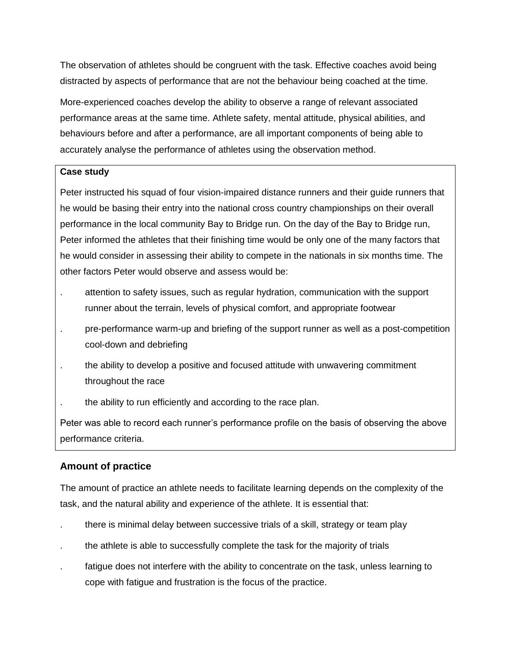The observation of athletes should be congruent with the task. Effective coaches avoid being distracted by aspects of performance that are not the behaviour being coached at the time.

More-experienced coaches develop the ability to observe a range of relevant associated performance areas at the same time. Athlete safety, mental attitude, physical abilities, and behaviours before and after a performance, are all important components of being able to accurately analyse the performance of athletes using the observation method.

#### **Case study**

Peter instructed his squad of four vision-impaired distance runners and their guide runners that he would be basing their entry into the national cross country championships on their overall performance in the local community Bay to Bridge run. On the day of the Bay to Bridge run, Peter informed the athletes that their finishing time would be only one of the many factors that he would consider in assessing their ability to compete in the nationals in six months time. The other factors Peter would observe and assess would be:

- . attention to safety issues, such as regular hydration, communication with the support runner about the terrain, levels of physical comfort, and appropriate footwear
- . pre-performance warm-up and briefing of the support runner as well as a post-competition cool-down and debriefing
- . the ability to develop a positive and focused attitude with unwavering commitment throughout the race
- . the ability to run efficiently and according to the race plan.

Peter was able to record each runner's performance profile on the basis of observing the above performance criteria.

### **Amount of practice**

The amount of practice an athlete needs to facilitate learning depends on the complexity of the task, and the natural ability and experience of the athlete. It is essential that:

- . there is minimal delay between successive trials of a skill, strategy or team play
- . the athlete is able to successfully complete the task for the majority of trials
- fatigue does not interfere with the ability to concentrate on the task, unless learning to cope with fatigue and frustration is the focus of the practice.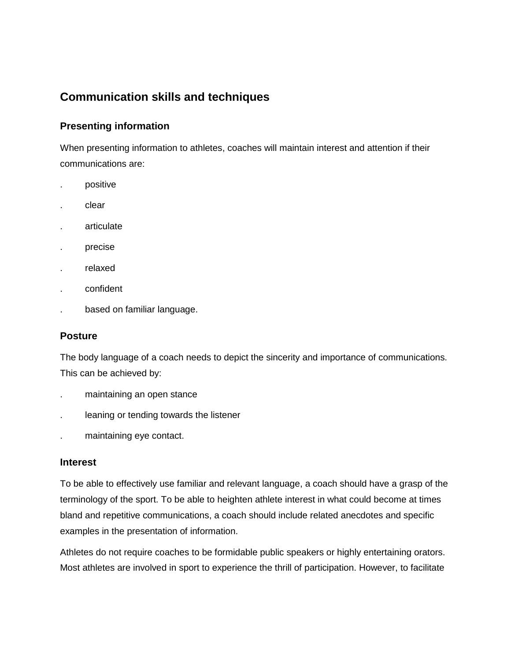# **Communication skills and techniques**

### **Presenting information**

When presenting information to athletes, coaches will maintain interest and attention if their communications are:

- . positive
- . clear
- . articulate
- . precise
- . relaxed
- . confident
- . based on familiar language.

#### **Posture**

The body language of a coach needs to depict the sincerity and importance of communications. This can be achieved by:

- . maintaining an open stance
- . leaning or tending towards the listener
- . maintaining eye contact.

#### **Interest**

To be able to effectively use familiar and relevant language, a coach should have a grasp of the terminology of the sport. To be able to heighten athlete interest in what could become at times bland and repetitive communications, a coach should include related anecdotes and specific examples in the presentation of information.

Athletes do not require coaches to be formidable public speakers or highly entertaining orators. Most athletes are involved in sport to experience the thrill of participation. However, to facilitate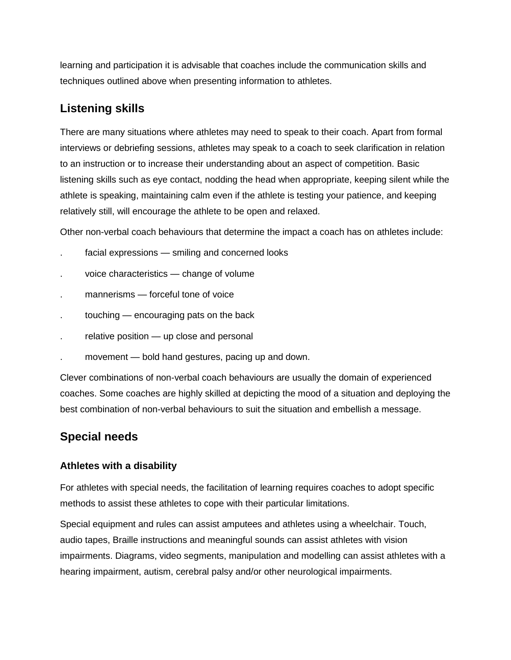learning and participation it is advisable that coaches include the communication skills and techniques outlined above when presenting information to athletes.

# **Listening skills**

There are many situations where athletes may need to speak to their coach. Apart from formal interviews or debriefing sessions, athletes may speak to a coach to seek clarification in relation to an instruction or to increase their understanding about an aspect of competition. Basic listening skills such as eye contact, nodding the head when appropriate, keeping silent while the athlete is speaking, maintaining calm even if the athlete is testing your patience, and keeping relatively still, will encourage the athlete to be open and relaxed.

Other non-verbal coach behaviours that determine the impact a coach has on athletes include:

- facial expressions smiling and concerned looks
- . voice characteristics change of volume
- mannerisms forceful tone of voice
- touching encouraging pats on the back
- relative position up close and personal
- . movement bold hand gestures, pacing up and down.

Clever combinations of non-verbal coach behaviours are usually the domain of experienced coaches. Some coaches are highly skilled at depicting the mood of a situation and deploying the best combination of non-verbal behaviours to suit the situation and embellish a message.

# **Special needs**

#### **Athletes with a disability**

For athletes with special needs, the facilitation of learning requires coaches to adopt specific methods to assist these athletes to cope with their particular limitations.

Special equipment and rules can assist amputees and athletes using a wheelchair. Touch, audio tapes, Braille instructions and meaningful sounds can assist athletes with vision impairments. Diagrams, video segments, manipulation and modelling can assist athletes with a hearing impairment, autism, cerebral palsy and/or other neurological impairments.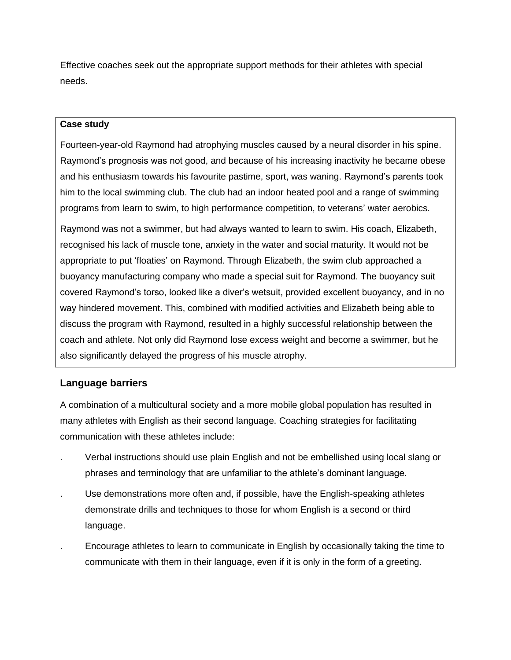Effective coaches seek out the appropriate support methods for their athletes with special needs.

#### **Case study**

Fourteen-year-old Raymond had atrophying muscles caused by a neural disorder in his spine. Raymond's prognosis was not good, and because of his increasing inactivity he became obese and his enthusiasm towards his favourite pastime, sport, was waning. Raymond's parents took him to the local swimming club. The club had an indoor heated pool and a range of swimming programs from learn to swim, to high performance competition, to veterans' water aerobics.

Raymond was not a swimmer, but had always wanted to learn to swim. His coach, Elizabeth, recognised his lack of muscle tone, anxiety in the water and social maturity. It would not be appropriate to put 'floaties' on Raymond. Through Elizabeth, the swim club approached a buoyancy manufacturing company who made a special suit for Raymond. The buoyancy suit covered Raymond's torso, looked like a diver's wetsuit, provided excellent buoyancy, and in no way hindered movement. This, combined with modified activities and Elizabeth being able to discuss the program with Raymond, resulted in a highly successful relationship between the coach and athlete. Not only did Raymond lose excess weight and become a swimmer, but he also significantly delayed the progress of his muscle atrophy.

#### **Language barriers**

A combination of a multicultural society and a more mobile global population has resulted in many athletes with English as their second language. Coaching strategies for facilitating communication with these athletes include:

- . Verbal instructions should use plain English and not be embellished using local slang or phrases and terminology that are unfamiliar to the athlete's dominant language.
- . Use demonstrations more often and, if possible, have the English-speaking athletes demonstrate drills and techniques to those for whom English is a second or third language.
- . Encourage athletes to learn to communicate in English by occasionally taking the time to communicate with them in their language, even if it is only in the form of a greeting.